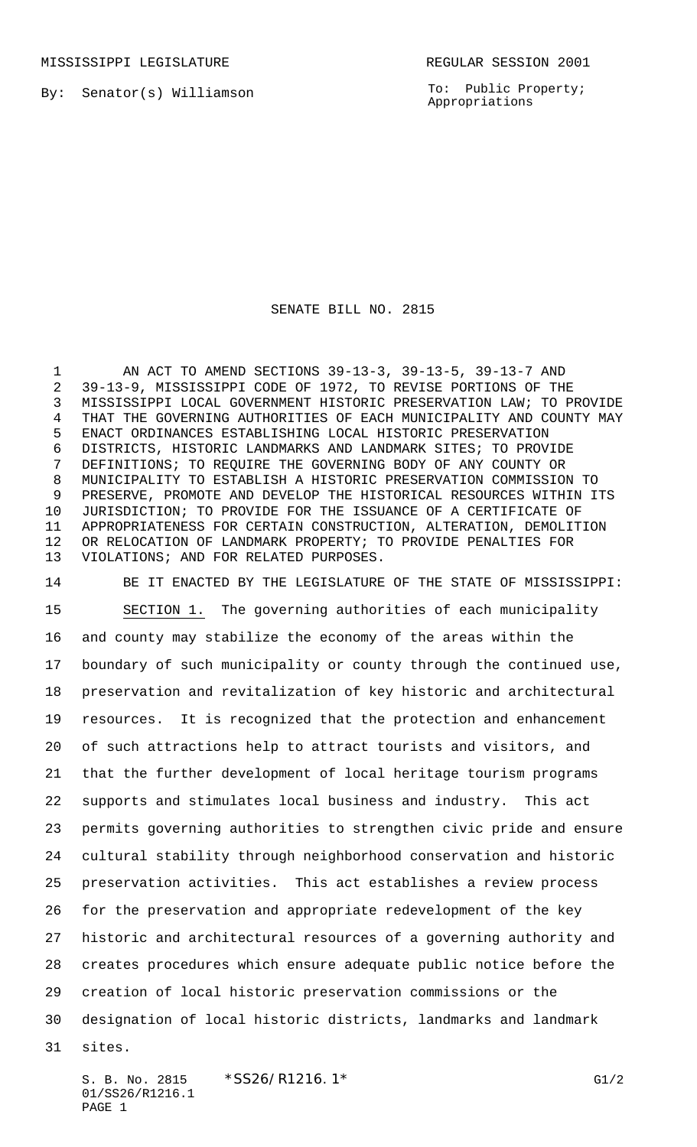MISSISSIPPI LEGISLATURE **REGULAR SESSION 2001** 

By: Senator(s) Williamson

To: Public Property; Appropriations

## SENATE BILL NO. 2815

 AN ACT TO AMEND SECTIONS 39-13-3, 39-13-5, 39-13-7 AND 39-13-9, MISSISSIPPI CODE OF 1972, TO REVISE PORTIONS OF THE MISSISSIPPI LOCAL GOVERNMENT HISTORIC PRESERVATION LAW; TO PROVIDE THAT THE GOVERNING AUTHORITIES OF EACH MUNICIPALITY AND COUNTY MAY ENACT ORDINANCES ESTABLISHING LOCAL HISTORIC PRESERVATION DISTRICTS, HISTORIC LANDMARKS AND LANDMARK SITES; TO PROVIDE DEFINITIONS; TO REQUIRE THE GOVERNING BODY OF ANY COUNTY OR MUNICIPALITY TO ESTABLISH A HISTORIC PRESERVATION COMMISSION TO PRESERVE, PROMOTE AND DEVELOP THE HISTORICAL RESOURCES WITHIN ITS JURISDICTION; TO PROVIDE FOR THE ISSUANCE OF A CERTIFICATE OF APPROPRIATENESS FOR CERTAIN CONSTRUCTION, ALTERATION, DEMOLITION OR RELOCATION OF LANDMARK PROPERTY; TO PROVIDE PENALTIES FOR VIOLATIONS; AND FOR RELATED PURPOSES.

 BE IT ENACTED BY THE LEGISLATURE OF THE STATE OF MISSISSIPPI: SECTION 1. The governing authorities of each municipality and county may stabilize the economy of the areas within the boundary of such municipality or county through the continued use, preservation and revitalization of key historic and architectural resources. It is recognized that the protection and enhancement of such attractions help to attract tourists and visitors, and that the further development of local heritage tourism programs supports and stimulates local business and industry. This act permits governing authorities to strengthen civic pride and ensure cultural stability through neighborhood conservation and historic preservation activities. This act establishes a review process for the preservation and appropriate redevelopment of the key historic and architectural resources of a governing authority and creates procedures which ensure adequate public notice before the creation of local historic preservation commissions or the designation of local historic districts, landmarks and landmark sites.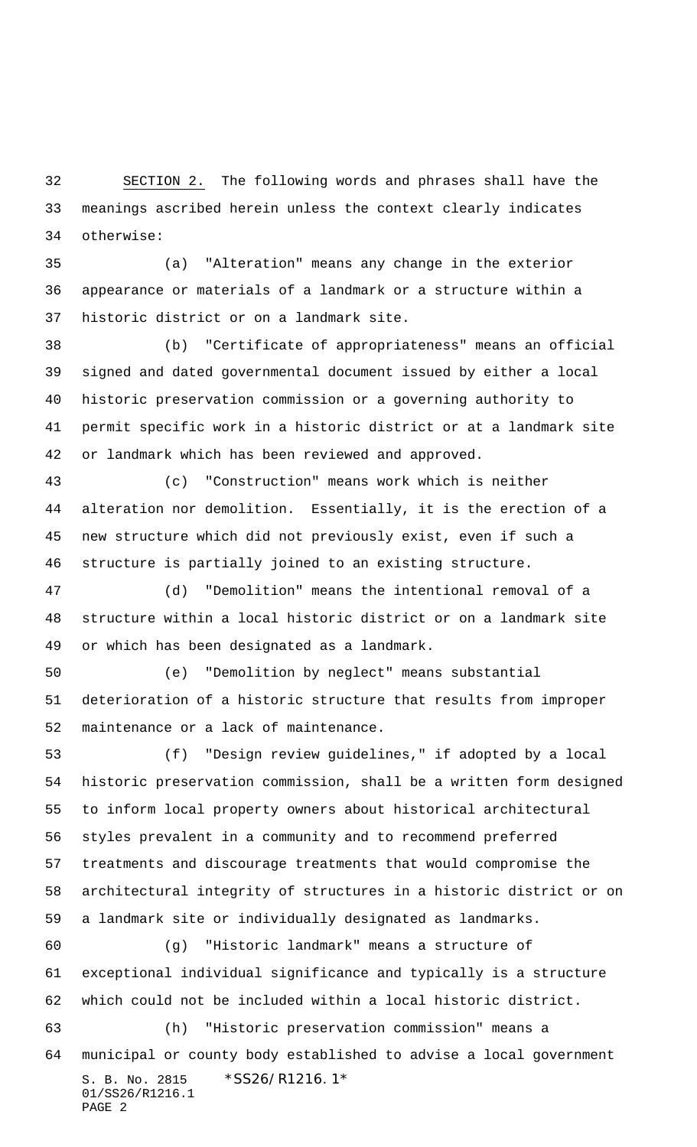SECTION 2. The following words and phrases shall have the meanings ascribed herein unless the context clearly indicates otherwise:

 (a) "Alteration" means any change in the exterior appearance or materials of a landmark or a structure within a historic district or on a landmark site.

 (b) "Certificate of appropriateness" means an official signed and dated governmental document issued by either a local historic preservation commission or a governing authority to permit specific work in a historic district or at a landmark site or landmark which has been reviewed and approved.

 (c) "Construction" means work which is neither alteration nor demolition. Essentially, it is the erection of a new structure which did not previously exist, even if such a structure is partially joined to an existing structure.

 (d) "Demolition" means the intentional removal of a structure within a local historic district or on a landmark site or which has been designated as a landmark.

 (e) "Demolition by neglect" means substantial deterioration of a historic structure that results from improper maintenance or a lack of maintenance.

 (f) "Design review guidelines," if adopted by a local historic preservation commission, shall be a written form designed to inform local property owners about historical architectural styles prevalent in a community and to recommend preferred treatments and discourage treatments that would compromise the architectural integrity of structures in a historic district or on a landmark site or individually designated as landmarks.

S. B. No. 2815 \* SS26/R1216.1\* 01/SS26/R1216.1 PAGE 2 (g) "Historic landmark" means a structure of exceptional individual significance and typically is a structure which could not be included within a local historic district. (h) "Historic preservation commission" means a municipal or county body established to advise a local government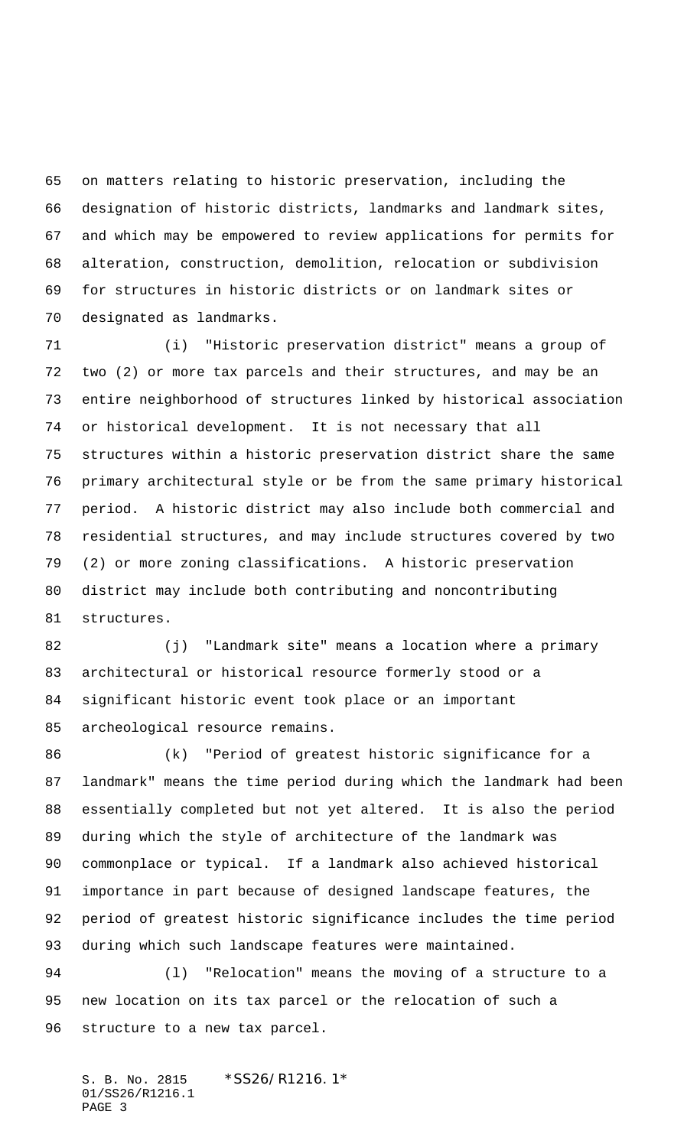on matters relating to historic preservation, including the designation of historic districts, landmarks and landmark sites, and which may be empowered to review applications for permits for alteration, construction, demolition, relocation or subdivision for structures in historic districts or on landmark sites or designated as landmarks.

 (i) "Historic preservation district" means a group of two (2) or more tax parcels and their structures, and may be an entire neighborhood of structures linked by historical association or historical development. It is not necessary that all structures within a historic preservation district share the same primary architectural style or be from the same primary historical period. A historic district may also include both commercial and residential structures, and may include structures covered by two (2) or more zoning classifications. A historic preservation district may include both contributing and noncontributing structures.

 (j) "Landmark site" means a location where a primary architectural or historical resource formerly stood or a significant historic event took place or an important archeological resource remains.

 (k) "Period of greatest historic significance for a landmark" means the time period during which the landmark had been essentially completed but not yet altered. It is also the period during which the style of architecture of the landmark was commonplace or typical. If a landmark also achieved historical importance in part because of designed landscape features, the period of greatest historic significance includes the time period during which such landscape features were maintained.

 (l) "Relocation" means the moving of a structure to a new location on its tax parcel or the relocation of such a structure to a new tax parcel.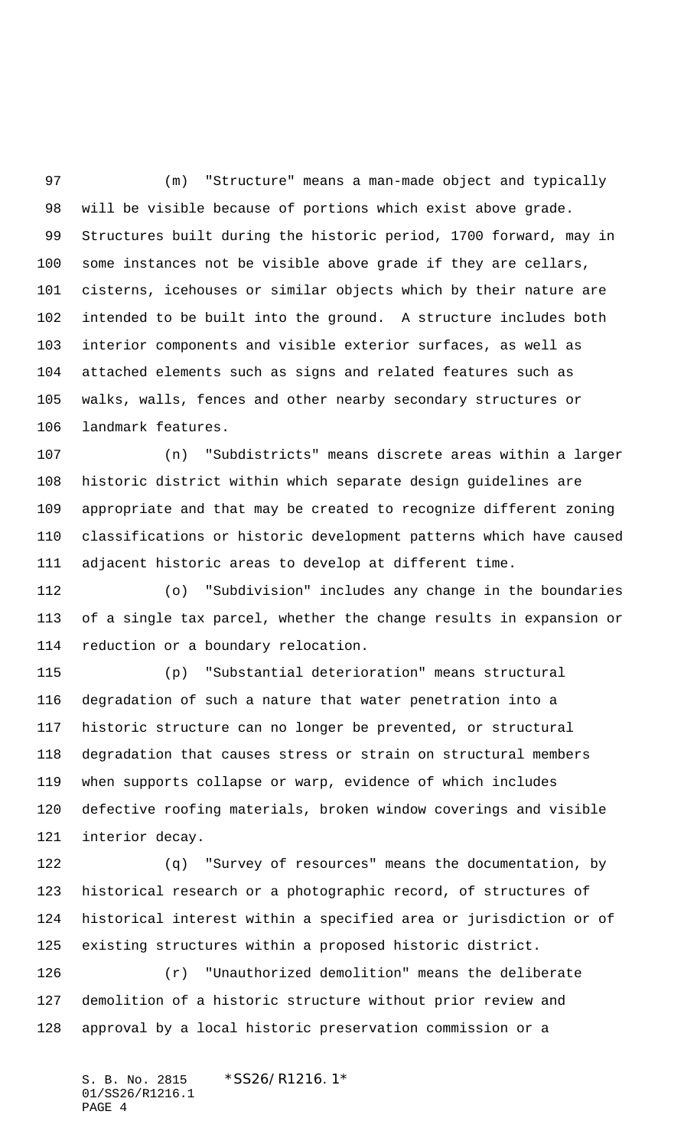(m) "Structure" means a man-made object and typically will be visible because of portions which exist above grade. Structures built during the historic period, 1700 forward, may in some instances not be visible above grade if they are cellars, cisterns, icehouses or similar objects which by their nature are intended to be built into the ground. A structure includes both interior components and visible exterior surfaces, as well as attached elements such as signs and related features such as walks, walls, fences and other nearby secondary structures or landmark features.

 (n) "Subdistricts" means discrete areas within a larger historic district within which separate design guidelines are appropriate and that may be created to recognize different zoning classifications or historic development patterns which have caused adjacent historic areas to develop at different time.

 (o) "Subdivision" includes any change in the boundaries of a single tax parcel, whether the change results in expansion or reduction or a boundary relocation.

 (p) "Substantial deterioration" means structural degradation of such a nature that water penetration into a historic structure can no longer be prevented, or structural degradation that causes stress or strain on structural members when supports collapse or warp, evidence of which includes defective roofing materials, broken window coverings and visible interior decay.

 (q) "Survey of resources" means the documentation, by historical research or a photographic record, of structures of historical interest within a specified area or jurisdiction or of existing structures within a proposed historic district.

 (r) "Unauthorized demolition" means the deliberate demolition of a historic structure without prior review and approval by a local historic preservation commission or a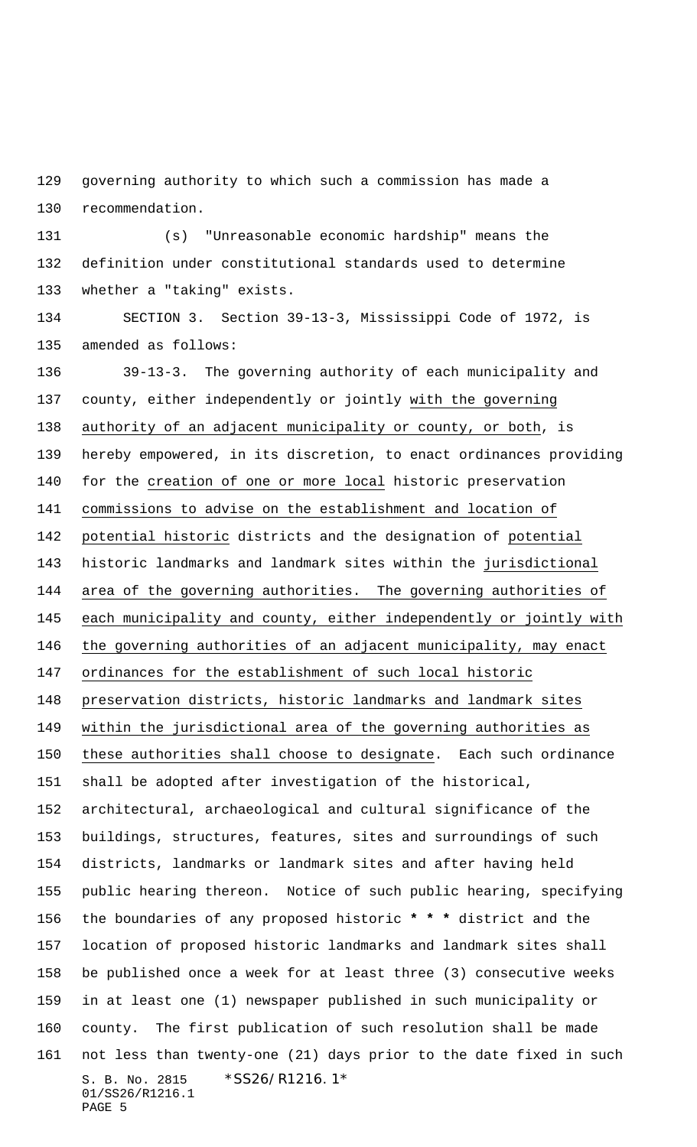governing authority to which such a commission has made a recommendation.

 (s) "Unreasonable economic hardship" means the definition under constitutional standards used to determine whether a "taking" exists.

 SECTION 3. Section 39-13-3, Mississippi Code of 1972, is amended as follows:

S. B. No. 2815 \* SS26/R1216.1\* 01/SS26/R1216.1 PAGE 5 39-13-3. The governing authority of each municipality and county, either independently or jointly with the governing authority of an adjacent municipality or county, or both, is hereby empowered, in its discretion, to enact ordinances providing for the creation of one or more local historic preservation commissions to advise on the establishment and location of potential historic districts and the designation of potential historic landmarks and landmark sites within the jurisdictional area of the governing authorities. The governing authorities of each municipality and county, either independently or jointly with the governing authorities of an adjacent municipality, may enact ordinances for the establishment of such local historic preservation districts, historic landmarks and landmark sites within the jurisdictional area of the governing authorities as these authorities shall choose to designate. Each such ordinance shall be adopted after investigation of the historical, architectural, archaeological and cultural significance of the buildings, structures, features, sites and surroundings of such districts, landmarks or landmark sites and after having held public hearing thereon. Notice of such public hearing, specifying the boundaries of any proposed historic **\* \* \*** district and the location of proposed historic landmarks and landmark sites shall be published once a week for at least three (3) consecutive weeks in at least one (1) newspaper published in such municipality or county. The first publication of such resolution shall be made not less than twenty-one (21) days prior to the date fixed in such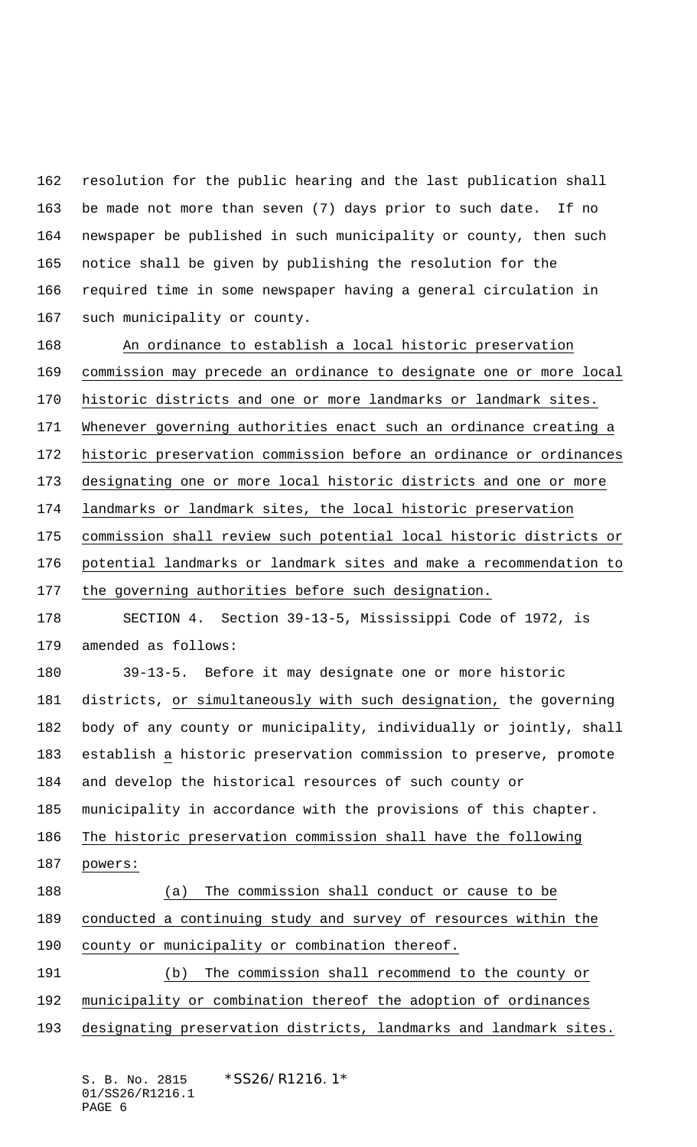resolution for the public hearing and the last publication shall be made not more than seven (7) days prior to such date. If no newspaper be published in such municipality or county, then such notice shall be given by publishing the resolution for the required time in some newspaper having a general circulation in such municipality or county.

 An ordinance to establish a local historic preservation commission may precede an ordinance to designate one or more local historic districts and one or more landmarks or landmark sites. 171 Whenever governing authorities enact such an ordinance creating a historic preservation commission before an ordinance or ordinances designating one or more local historic districts and one or more landmarks or landmark sites, the local historic preservation commission shall review such potential local historic districts or potential landmarks or landmark sites and make a recommendation to the governing authorities before such designation. SECTION 4. Section 39-13-5, Mississippi Code of 1972, is amended as follows:

 39-13-5. Before it may designate one or more historic districts, or simultaneously with such designation, the governing body of any county or municipality, individually or jointly, shall establish a historic preservation commission to preserve, promote and develop the historical resources of such county or municipality in accordance with the provisions of this chapter.

 The historic preservation commission shall have the following powers:

 (a) The commission shall conduct or cause to be conducted a continuing study and survey of resources within the county or municipality or combination thereof.

 (b) The commission shall recommend to the county or municipality or combination thereof the adoption of ordinances

designating preservation districts, landmarks and landmark sites.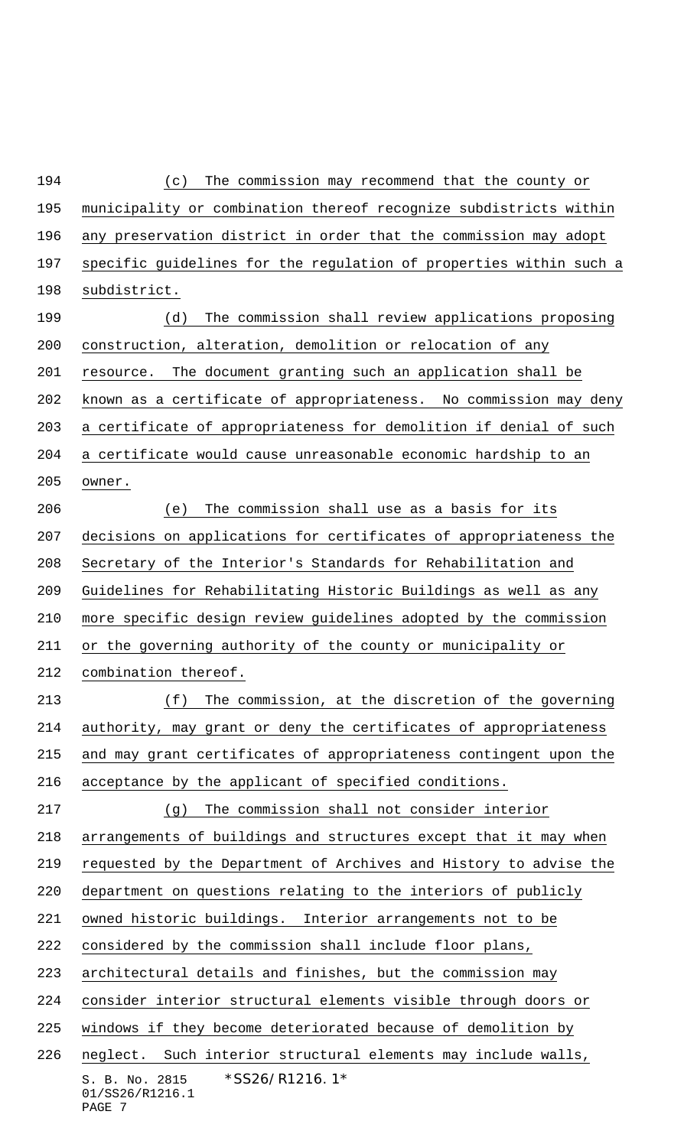S. B. No. 2815 \* SS26/R1216.1\* 01/SS26/R1216.1 PAGE 7 (c) The commission may recommend that the county or municipality or combination thereof recognize subdistricts within any preservation district in order that the commission may adopt specific guidelines for the regulation of properties within such a subdistrict. (d) The commission shall review applications proposing construction, alteration, demolition or relocation of any resource. The document granting such an application shall be known as a certificate of appropriateness. No commission may deny a certificate of appropriateness for demolition if denial of such a certificate would cause unreasonable economic hardship to an owner. (e) The commission shall use as a basis for its decisions on applications for certificates of appropriateness the Secretary of the Interior's Standards for Rehabilitation and Guidelines for Rehabilitating Historic Buildings as well as any more specific design review guidelines adopted by the commission or the governing authority of the county or municipality or combination thereof. (f) The commission, at the discretion of the governing authority, may grant or deny the certificates of appropriateness and may grant certificates of appropriateness contingent upon the acceptance by the applicant of specified conditions. (g) The commission shall not consider interior arrangements of buildings and structures except that it may when requested by the Department of Archives and History to advise the department on questions relating to the interiors of publicly owned historic buildings. Interior arrangements not to be considered by the commission shall include floor plans, architectural details and finishes, but the commission may consider interior structural elements visible through doors or windows if they become deteriorated because of demolition by neglect. Such interior structural elements may include walls,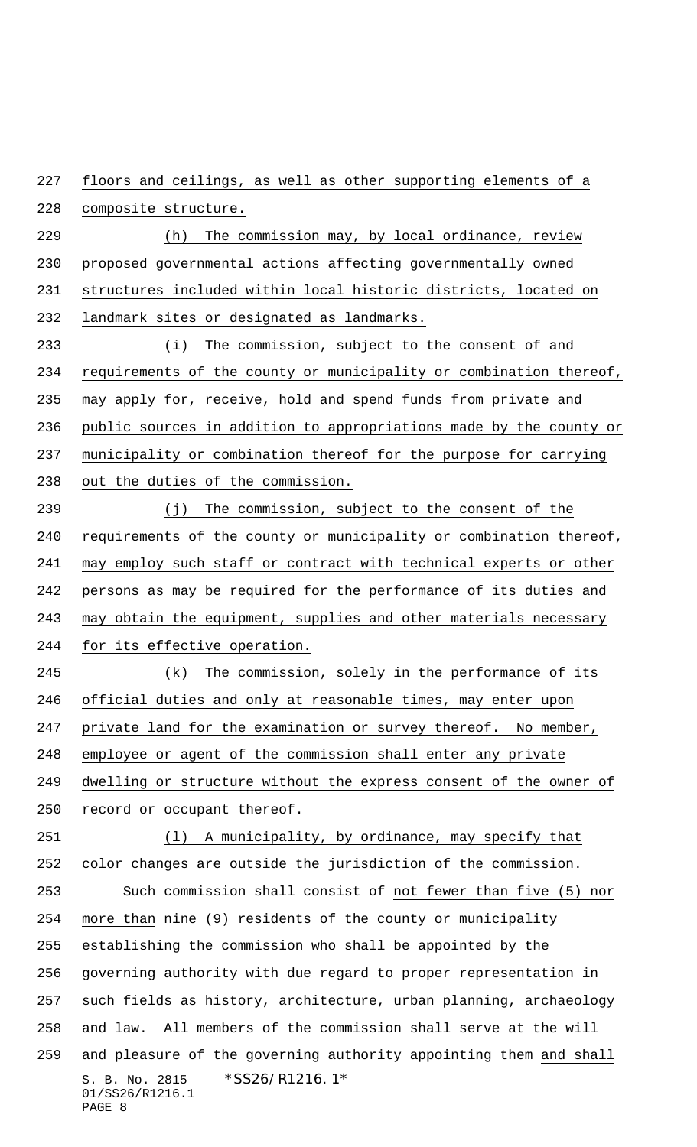floors and ceilings, as well as other supporting elements of a composite structure.

229 (h) The commission may, by local ordinance, review proposed governmental actions affecting governmentally owned structures included within local historic districts, located on landmark sites or designated as landmarks.

 (i) The commission, subject to the consent of and requirements of the county or municipality or combination thereof, may apply for, receive, hold and spend funds from private and public sources in addition to appropriations made by the county or municipality or combination thereof for the purpose for carrying 238 out the duties of the commission.

 (j) The commission, subject to the consent of the requirements of the county or municipality or combination thereof, may employ such staff or contract with technical experts or other persons as may be required for the performance of its duties and may obtain the equipment, supplies and other materials necessary for its effective operation.

245 (k) The commission, solely in the performance of its official duties and only at reasonable times, may enter upon 247 private land for the examination or survey thereof. No member, employee or agent of the commission shall enter any private dwelling or structure without the express consent of the owner of record or occupant thereof.

S. B. No. 2815 \*SS26/R1216.1\* 01/SS26/R1216.1 PAGE 8 (l) A municipality, by ordinance, may specify that color changes are outside the jurisdiction of the commission. Such commission shall consist of not fewer than five (5) nor more than nine (9) residents of the county or municipality establishing the commission who shall be appointed by the governing authority with due regard to proper representation in such fields as history, architecture, urban planning, archaeology and law. All members of the commission shall serve at the will and pleasure of the governing authority appointing them and shall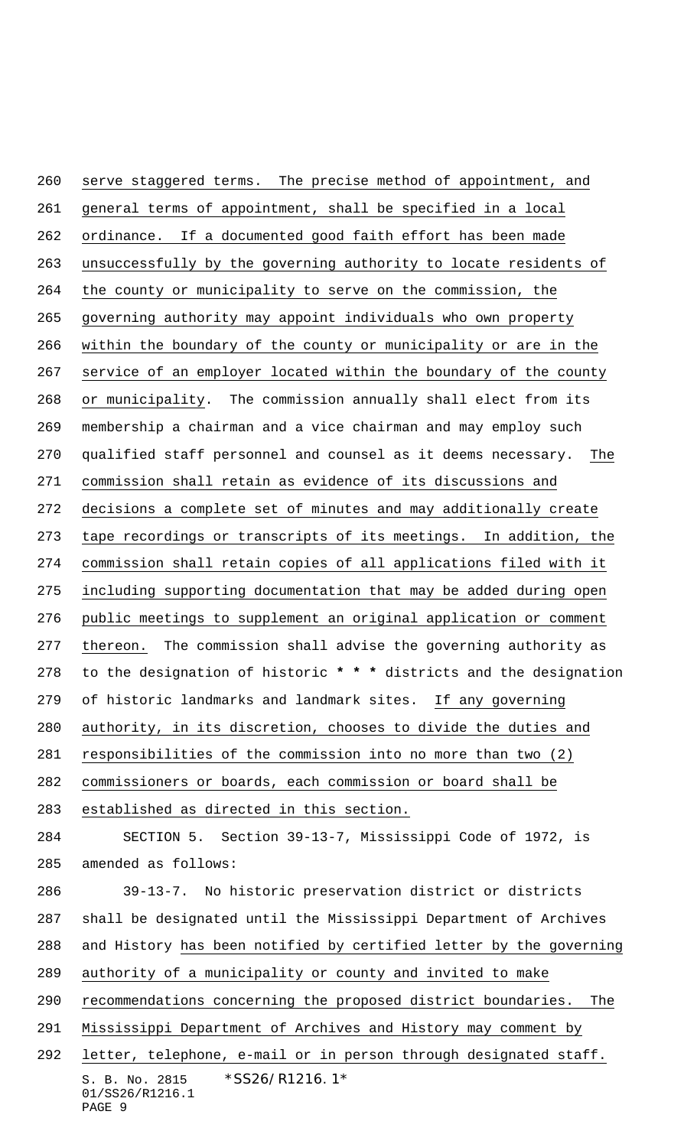S. B. No. 2815 \*SS26/R1216.1\* 01/SS26/R1216.1 serve staggered terms. The precise method of appointment, and general terms of appointment, shall be specified in a local ordinance. If a documented good faith effort has been made unsuccessfully by the governing authority to locate residents of the county or municipality to serve on the commission, the governing authority may appoint individuals who own property within the boundary of the county or municipality or are in the 267 service of an employer located within the boundary of the county or municipality. The commission annually shall elect from its membership a chairman and a vice chairman and may employ such qualified staff personnel and counsel as it deems necessary. The commission shall retain as evidence of its discussions and decisions a complete set of minutes and may additionally create tape recordings or transcripts of its meetings. In addition, the commission shall retain copies of all applications filed with it including supporting documentation that may be added during open public meetings to supplement an original application or comment thereon. The commission shall advise the governing authority as to the designation of historic **\* \* \*** districts and the designation of historic landmarks and landmark sites. If any governing authority, in its discretion, chooses to divide the duties and responsibilities of the commission into no more than two (2) commissioners or boards, each commission or board shall be established as directed in this section. SECTION 5. Section 39-13-7, Mississippi Code of 1972, is amended as follows: 39-13-7. No historic preservation district or districts shall be designated until the Mississippi Department of Archives and History has been notified by certified letter by the governing authority of a municipality or county and invited to make recommendations concerning the proposed district boundaries. The Mississippi Department of Archives and History may comment by letter, telephone, e-mail or in person through designated staff.

PAGE 9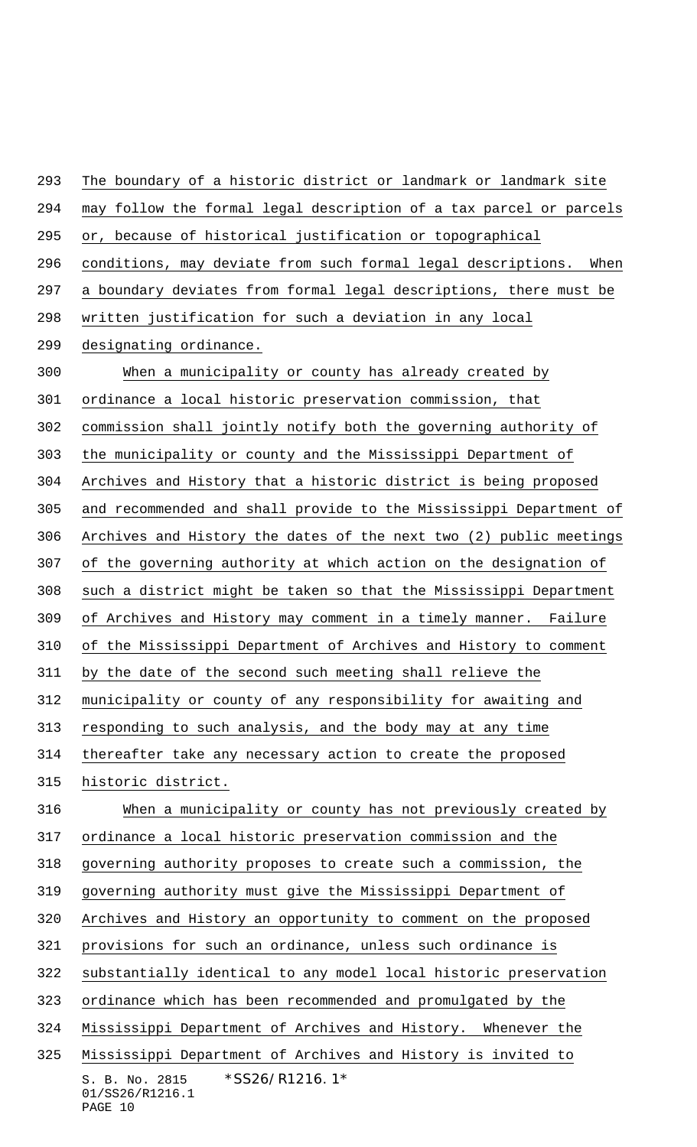S. B. No. 2815 \*SS26/R1216.1\* 01/SS26/R1216.1 The boundary of a historic district or landmark or landmark site may follow the formal legal description of a tax parcel or parcels or, because of historical justification or topographical conditions, may deviate from such formal legal descriptions. When a boundary deviates from formal legal descriptions, there must be written justification for such a deviation in any local designating ordinance. When a municipality or county has already created by ordinance a local historic preservation commission, that commission shall jointly notify both the governing authority of the municipality or county and the Mississippi Department of Archives and History that a historic district is being proposed and recommended and shall provide to the Mississippi Department of Archives and History the dates of the next two (2) public meetings of the governing authority at which action on the designation of such a district might be taken so that the Mississippi Department of Archives and History may comment in a timely manner. Failure of the Mississippi Department of Archives and History to comment by the date of the second such meeting shall relieve the municipality or county of any responsibility for awaiting and responding to such analysis, and the body may at any time thereafter take any necessary action to create the proposed historic district. When a municipality or county has not previously created by ordinance a local historic preservation commission and the governing authority proposes to create such a commission, the governing authority must give the Mississippi Department of Archives and History an opportunity to comment on the proposed provisions for such an ordinance, unless such ordinance is substantially identical to any model local historic preservation ordinance which has been recommended and promulgated by the Mississippi Department of Archives and History. Whenever the Mississippi Department of Archives and History is invited to

PAGE 10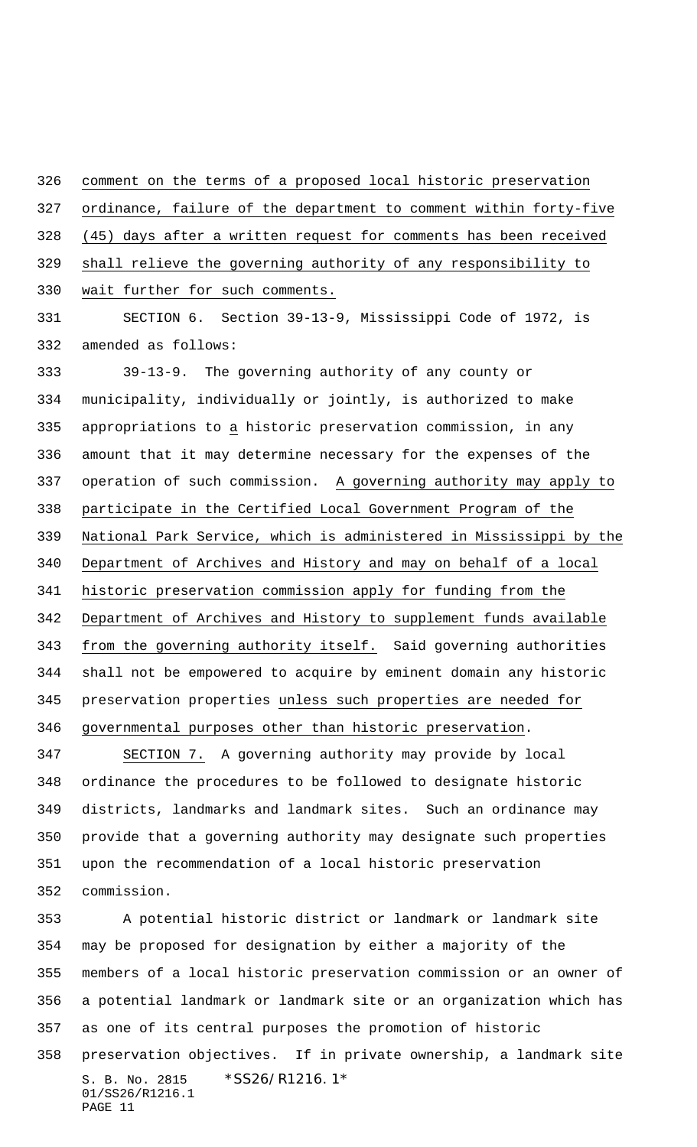comment on the terms of a proposed local historic preservation

ordinance, failure of the department to comment within forty-five

(45) days after a written request for comments has been received

shall relieve the governing authority of any responsibility to

wait further for such comments.

 SECTION 6. Section 39-13-9, Mississippi Code of 1972, is amended as follows:

 39-13-9. The governing authority of any county or municipality, individually or jointly, is authorized to make appropriations to a historic preservation commission, in any amount that it may determine necessary for the expenses of the operation of such commission. A governing authority may apply to participate in the Certified Local Government Program of the National Park Service, which is administered in Mississippi by the Department of Archives and History and may on behalf of a local historic preservation commission apply for funding from the Department of Archives and History to supplement funds available 343 from the governing authority itself. Said governing authorities shall not be empowered to acquire by eminent domain any historic preservation properties unless such properties are needed for governmental purposes other than historic preservation.

 SECTION 7. A governing authority may provide by local ordinance the procedures to be followed to designate historic districts, landmarks and landmark sites. Such an ordinance may provide that a governing authority may designate such properties upon the recommendation of a local historic preservation commission.

S. B. No. 2815 \*SS26/R1216.1\* 01/SS26/R1216.1 PAGE 11 A potential historic district or landmark or landmark site may be proposed for designation by either a majority of the members of a local historic preservation commission or an owner of a potential landmark or landmark site or an organization which has as one of its central purposes the promotion of historic preservation objectives. If in private ownership, a landmark site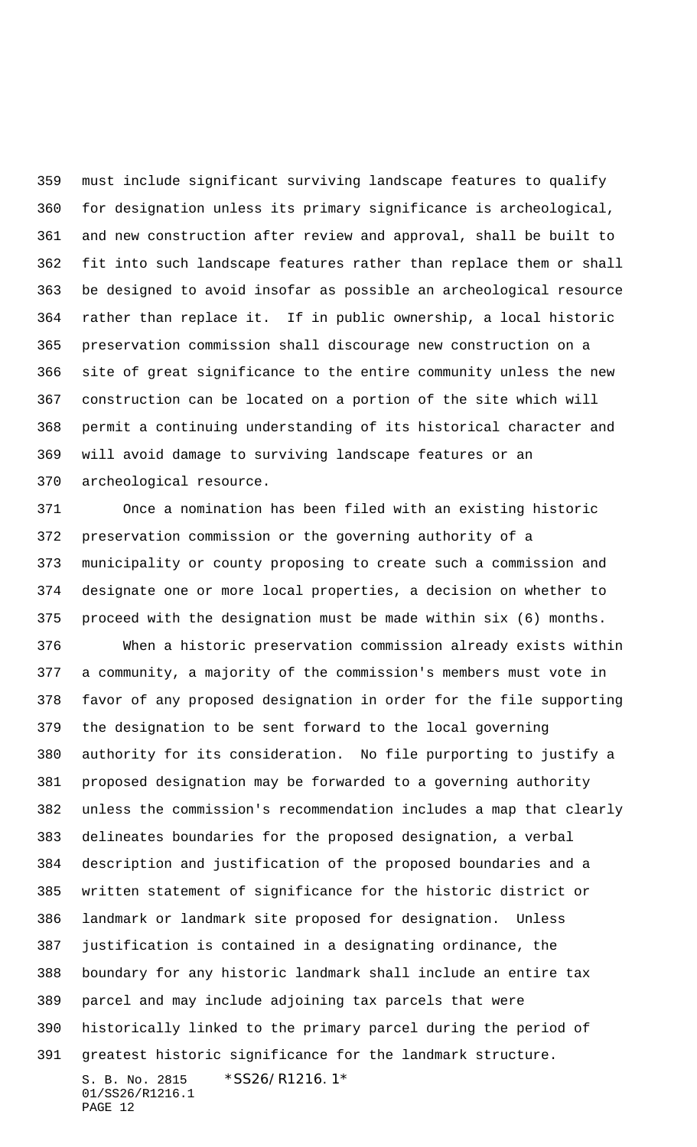must include significant surviving landscape features to qualify for designation unless its primary significance is archeological, and new construction after review and approval, shall be built to fit into such landscape features rather than replace them or shall be designed to avoid insofar as possible an archeological resource rather than replace it. If in public ownership, a local historic preservation commission shall discourage new construction on a site of great significance to the entire community unless the new construction can be located on a portion of the site which will permit a continuing understanding of its historical character and will avoid damage to surviving landscape features or an archeological resource.

 Once a nomination has been filed with an existing historic preservation commission or the governing authority of a municipality or county proposing to create such a commission and designate one or more local properties, a decision on whether to proceed with the designation must be made within six (6) months.

S. B. No. 2815 \* SS26/R1216.1\* 01/SS26/R1216.1 PAGE 12 When a historic preservation commission already exists within a community, a majority of the commission's members must vote in favor of any proposed designation in order for the file supporting the designation to be sent forward to the local governing authority for its consideration. No file purporting to justify a proposed designation may be forwarded to a governing authority unless the commission's recommendation includes a map that clearly delineates boundaries for the proposed designation, a verbal description and justification of the proposed boundaries and a written statement of significance for the historic district or landmark or landmark site proposed for designation. Unless justification is contained in a designating ordinance, the boundary for any historic landmark shall include an entire tax parcel and may include adjoining tax parcels that were historically linked to the primary parcel during the period of greatest historic significance for the landmark structure.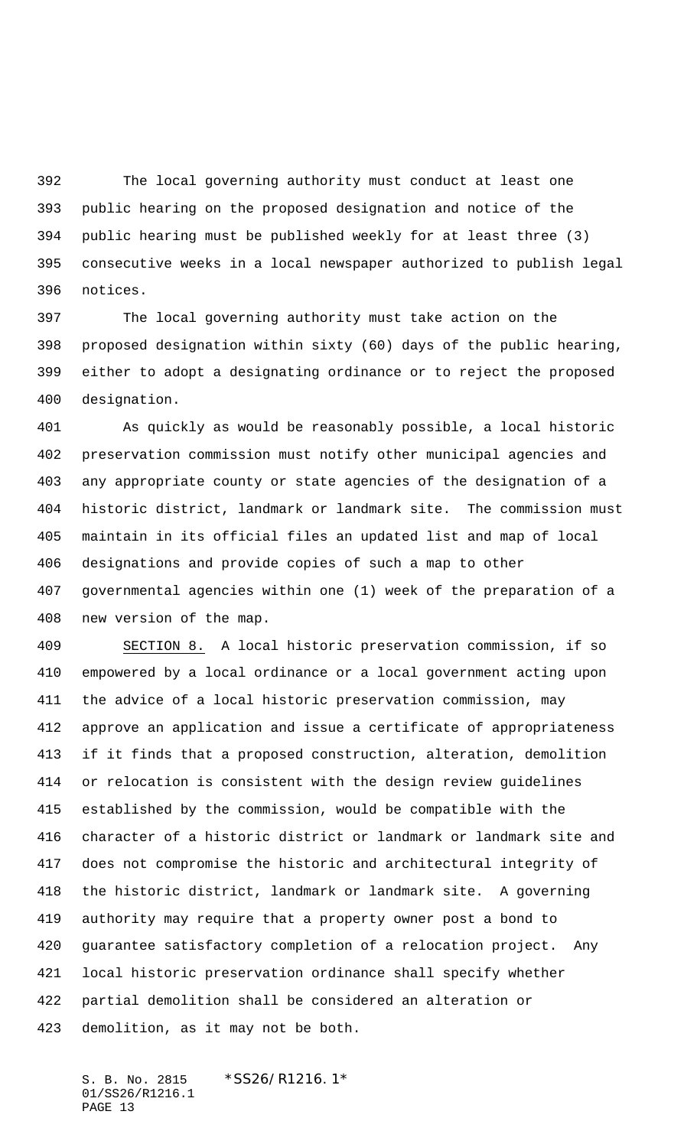The local governing authority must conduct at least one public hearing on the proposed designation and notice of the public hearing must be published weekly for at least three (3) consecutive weeks in a local newspaper authorized to publish legal notices.

 The local governing authority must take action on the proposed designation within sixty (60) days of the public hearing, either to adopt a designating ordinance or to reject the proposed designation.

 As quickly as would be reasonably possible, a local historic preservation commission must notify other municipal agencies and any appropriate county or state agencies of the designation of a historic district, landmark or landmark site. The commission must maintain in its official files an updated list and map of local designations and provide copies of such a map to other governmental agencies within one (1) week of the preparation of a new version of the map.

 SECTION 8. A local historic preservation commission, if so empowered by a local ordinance or a local government acting upon the advice of a local historic preservation commission, may approve an application and issue a certificate of appropriateness if it finds that a proposed construction, alteration, demolition or relocation is consistent with the design review guidelines established by the commission, would be compatible with the character of a historic district or landmark or landmark site and does not compromise the historic and architectural integrity of the historic district, landmark or landmark site. A governing authority may require that a property owner post a bond to guarantee satisfactory completion of a relocation project. Any local historic preservation ordinance shall specify whether partial demolition shall be considered an alteration or demolition, as it may not be both.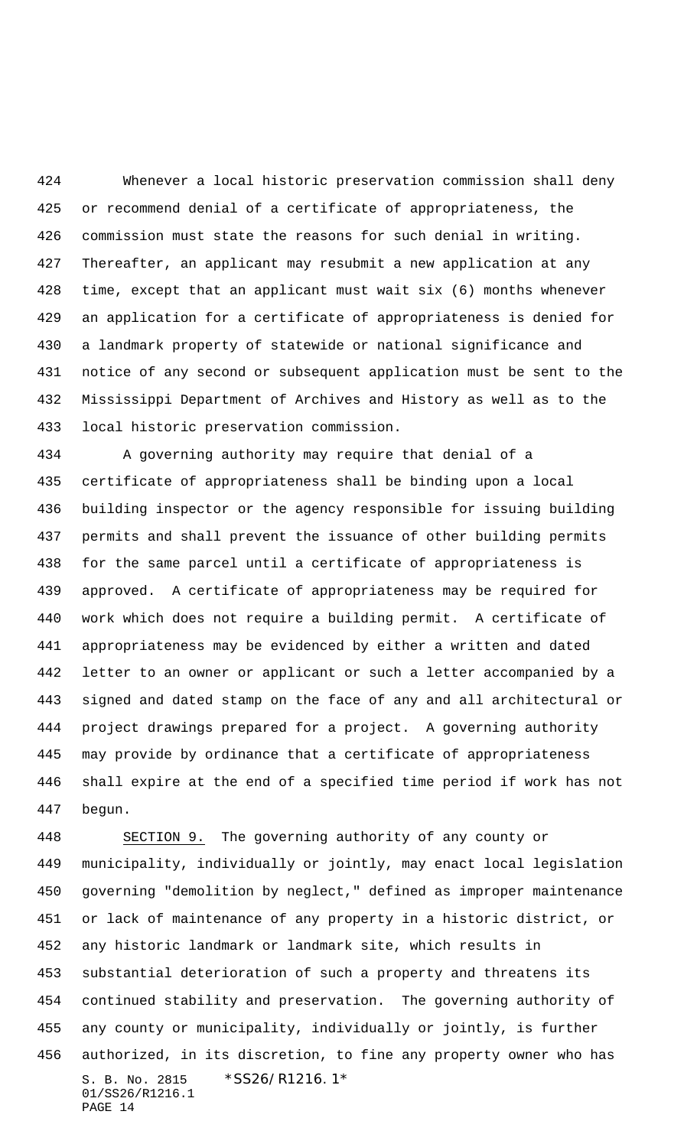Whenever a local historic preservation commission shall deny or recommend denial of a certificate of appropriateness, the commission must state the reasons for such denial in writing. Thereafter, an applicant may resubmit a new application at any time, except that an applicant must wait six (6) months whenever an application for a certificate of appropriateness is denied for a landmark property of statewide or national significance and notice of any second or subsequent application must be sent to the Mississippi Department of Archives and History as well as to the local historic preservation commission.

 A governing authority may require that denial of a certificate of appropriateness shall be binding upon a local building inspector or the agency responsible for issuing building permits and shall prevent the issuance of other building permits for the same parcel until a certificate of appropriateness is approved. A certificate of appropriateness may be required for work which does not require a building permit. A certificate of appropriateness may be evidenced by either a written and dated letter to an owner or applicant or such a letter accompanied by a signed and dated stamp on the face of any and all architectural or project drawings prepared for a project. A governing authority may provide by ordinance that a certificate of appropriateness shall expire at the end of a specified time period if work has not begun.

S. B. No. 2815 \* SS26/R1216.1\* 01/SS26/R1216.1 PAGE 14 SECTION 9. The governing authority of any county or municipality, individually or jointly, may enact local legislation governing "demolition by neglect," defined as improper maintenance or lack of maintenance of any property in a historic district, or any historic landmark or landmark site, which results in substantial deterioration of such a property and threatens its continued stability and preservation. The governing authority of any county or municipality, individually or jointly, is further authorized, in its discretion, to fine any property owner who has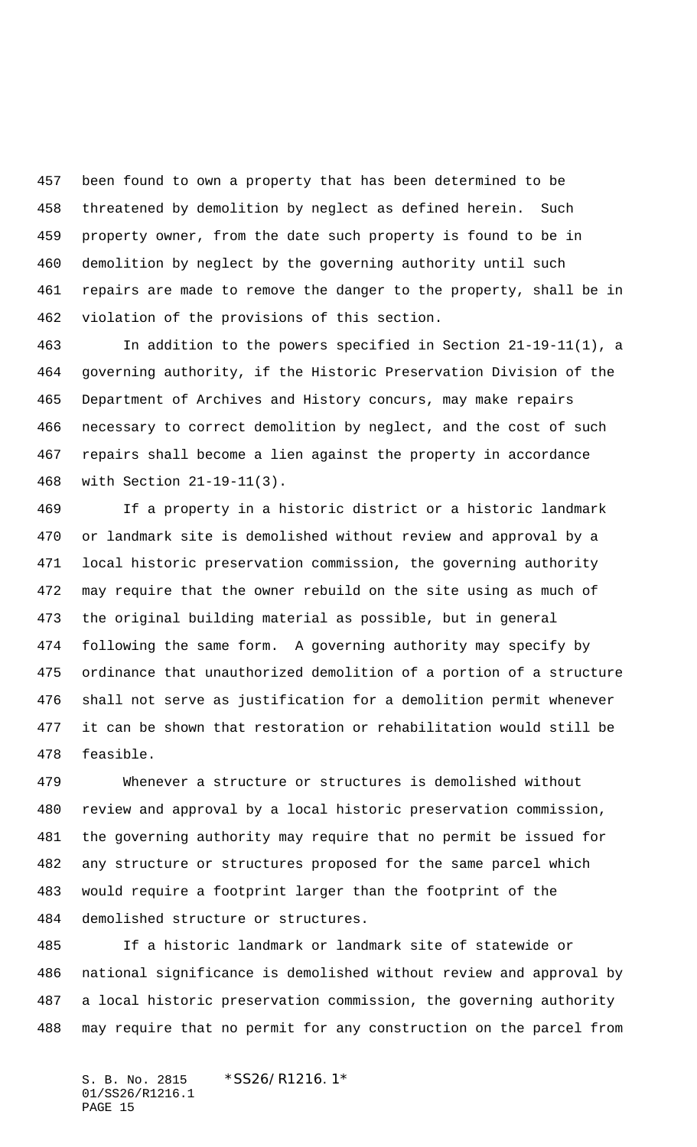been found to own a property that has been determined to be threatened by demolition by neglect as defined herein. Such property owner, from the date such property is found to be in demolition by neglect by the governing authority until such repairs are made to remove the danger to the property, shall be in violation of the provisions of this section.

 In addition to the powers specified in Section 21-19-11(1), a governing authority, if the Historic Preservation Division of the Department of Archives and History concurs, may make repairs necessary to correct demolition by neglect, and the cost of such repairs shall become a lien against the property in accordance with Section 21-19-11(3).

 If a property in a historic district or a historic landmark or landmark site is demolished without review and approval by a local historic preservation commission, the governing authority may require that the owner rebuild on the site using as much of the original building material as possible, but in general following the same form. A governing authority may specify by ordinance that unauthorized demolition of a portion of a structure shall not serve as justification for a demolition permit whenever it can be shown that restoration or rehabilitation would still be feasible.

 Whenever a structure or structures is demolished without review and approval by a local historic preservation commission, the governing authority may require that no permit be issued for any structure or structures proposed for the same parcel which would require a footprint larger than the footprint of the demolished structure or structures.

 If a historic landmark or landmark site of statewide or national significance is demolished without review and approval by a local historic preservation commission, the governing authority may require that no permit for any construction on the parcel from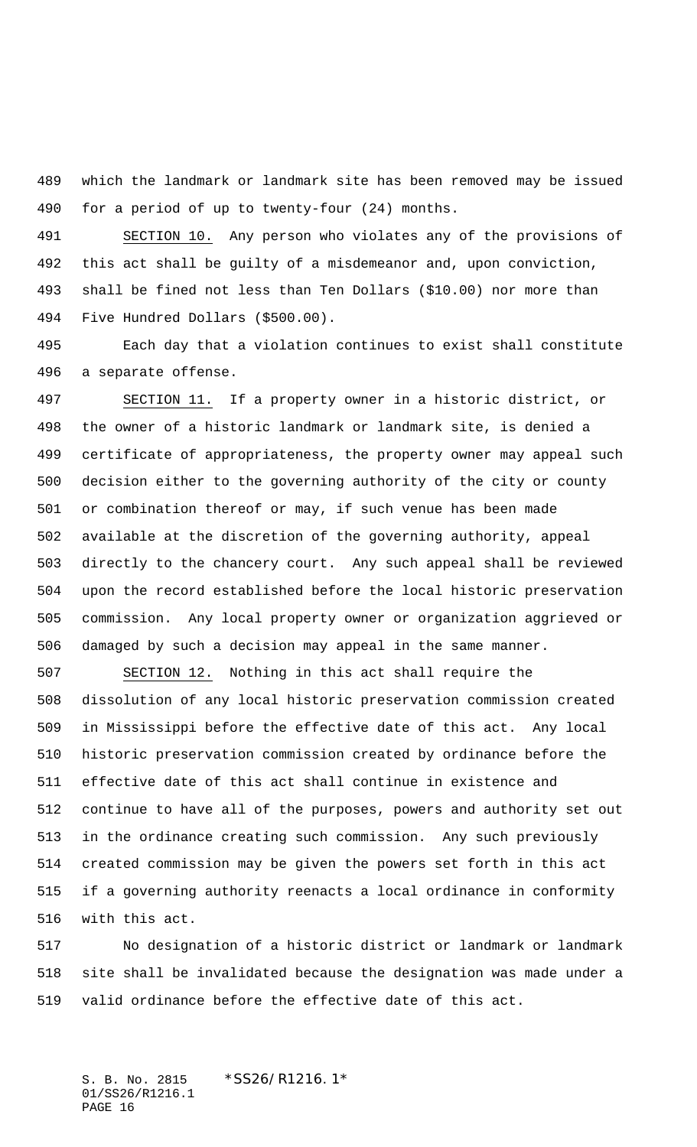which the landmark or landmark site has been removed may be issued for a period of up to twenty-four (24) months.

 SECTION 10. Any person who violates any of the provisions of this act shall be guilty of a misdemeanor and, upon conviction, shall be fined not less than Ten Dollars (\$10.00) nor more than Five Hundred Dollars (\$500.00).

 Each day that a violation continues to exist shall constitute a separate offense.

 SECTION 11. If a property owner in a historic district, or the owner of a historic landmark or landmark site, is denied a certificate of appropriateness, the property owner may appeal such decision either to the governing authority of the city or county or combination thereof or may, if such venue has been made available at the discretion of the governing authority, appeal directly to the chancery court. Any such appeal shall be reviewed upon the record established before the local historic preservation commission. Any local property owner or organization aggrieved or damaged by such a decision may appeal in the same manner.

 SECTION 12. Nothing in this act shall require the dissolution of any local historic preservation commission created in Mississippi before the effective date of this act. Any local historic preservation commission created by ordinance before the effective date of this act shall continue in existence and continue to have all of the purposes, powers and authority set out in the ordinance creating such commission. Any such previously created commission may be given the powers set forth in this act if a governing authority reenacts a local ordinance in conformity with this act.

 No designation of a historic district or landmark or landmark site shall be invalidated because the designation was made under a valid ordinance before the effective date of this act.